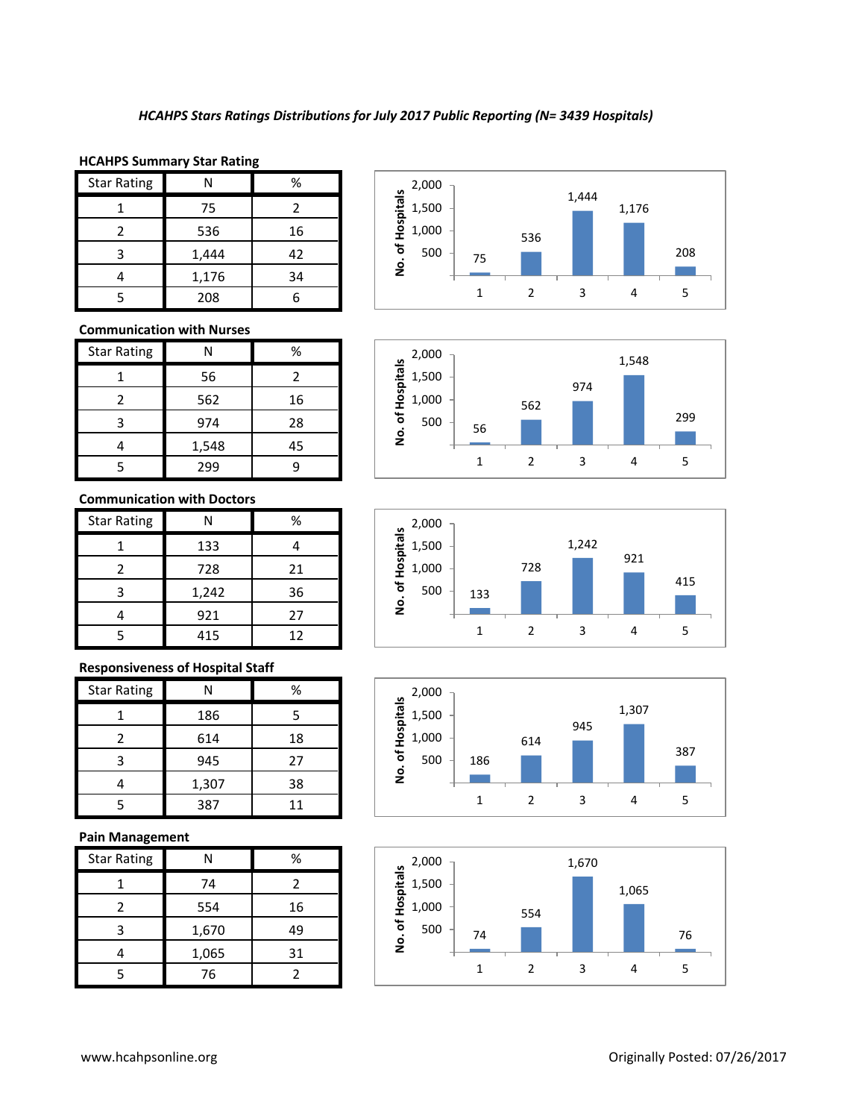#### **HCAHPS Summary Star Rating**

| <b>Star Rating</b> | N     | %  |
|--------------------|-------|----|
|                    | 75    | 2  |
| 2                  | 536   | 16 |
| ς                  | 1,444 | 42 |
|                    | 1,176 | 34 |
|                    | 208   |    |

### **Communication with Nurses**

| <b>Star Rating</b> | N     | %  |
|--------------------|-------|----|
|                    | 56    | 2  |
| 2                  | 562   | 16 |
| 3                  | 974   | 28 |
|                    | 1,548 | 45 |
|                    | 299   |    |

## **Communication with Doctors**

| <b>Star Rating</b> | N     | ℅  |
|--------------------|-------|----|
|                    | 133   |    |
| 2                  | 728   | 21 |
| 3                  | 1,242 | 36 |
|                    | 921   | 27 |
|                    | 415   | 12 |

## **Responsiveness of Hospital Staff**

| <b>Star Rating</b> | N     | %  |
|--------------------|-------|----|
|                    | 186   |    |
|                    | 614   | 18 |
| з                  | 945   | 27 |
|                    | 1,307 | 38 |
|                    | 387   | 11 |

#### **Pain Management**

| <b>Star Rating</b> |       | %  |
|--------------------|-------|----|
|                    | 74    |    |
|                    | 554   | 16 |
| ੨                  | 1,670 | 49 |
|                    | 1,065 | 31 |
|                    | 76    |    |









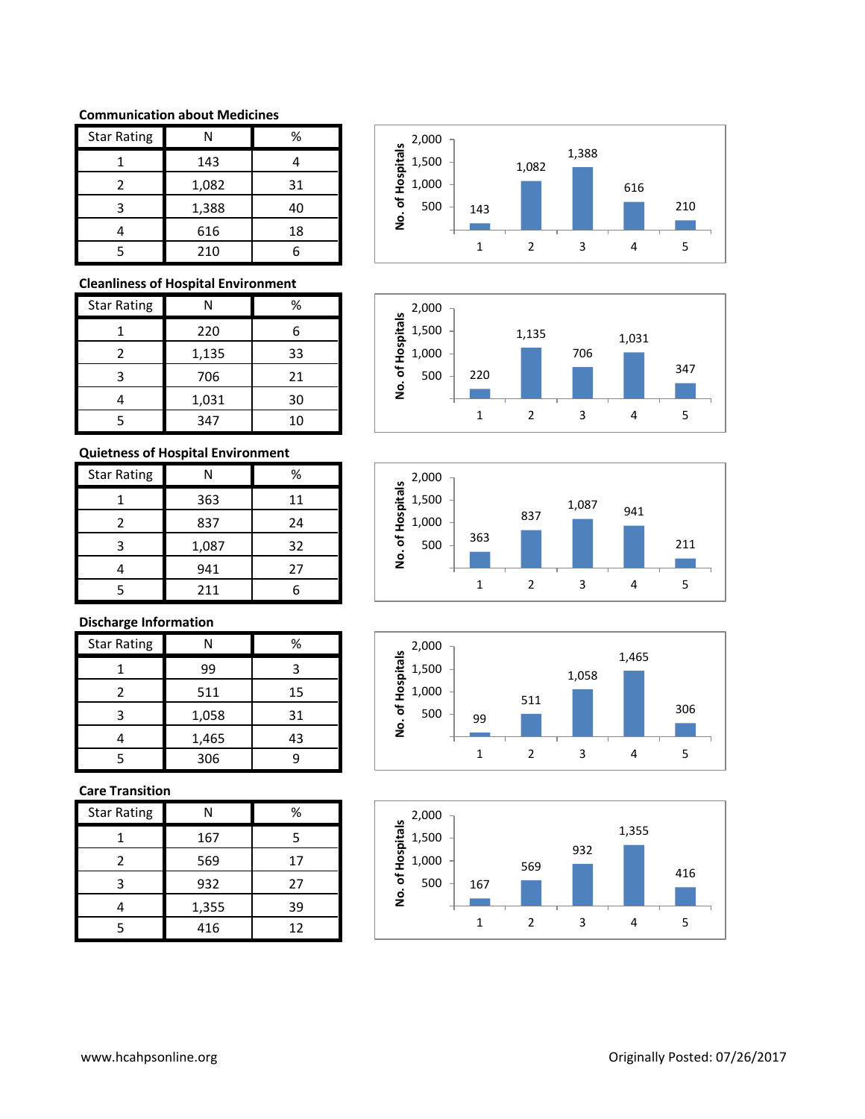#### **Communication about Medicines**

| <b>Star Rating</b> | N     | %  |
|--------------------|-------|----|
|                    | 143   |    |
| 2                  | 1,082 | 31 |
| ς                  | 1,388 | 40 |
|                    | 616   | 18 |
|                    | 210   |    |

## **Cleanliness of Hospital Environment**

| <b>Star Rating</b> | N     | %  |
|--------------------|-------|----|
|                    | 220   | 6  |
| 2                  | 1,135 | 33 |
| З                  | 706   | 21 |
|                    | 1,031 | 30 |
|                    | 347   | 10 |

# **Quietness of Hospital Environment**

| <b>Star Rating</b> |       | %  |
|--------------------|-------|----|
|                    | 363   | 11 |
| 2                  | 837   | 24 |
| ς                  | 1,087 | 32 |
|                    | 941   | 27 |
|                    | 211   |    |

# **Discharge Information**

| <b>Star Rating</b> | N     | %  |
|--------------------|-------|----|
|                    | 99    | 3  |
| 2                  | 511   | 15 |
| ₹                  | 1,058 | 31 |
|                    | 1,465 | 43 |
|                    | 306   |    |

## **Care Transition**

| <b>Star Rating</b> | N     | ℅  |
|--------------------|-------|----|
|                    | 167   | 5  |
| 2                  | 569   | 17 |
| 3                  | 932   | 27 |
|                    | 1,355 | 39 |
|                    | 416   | 12 |